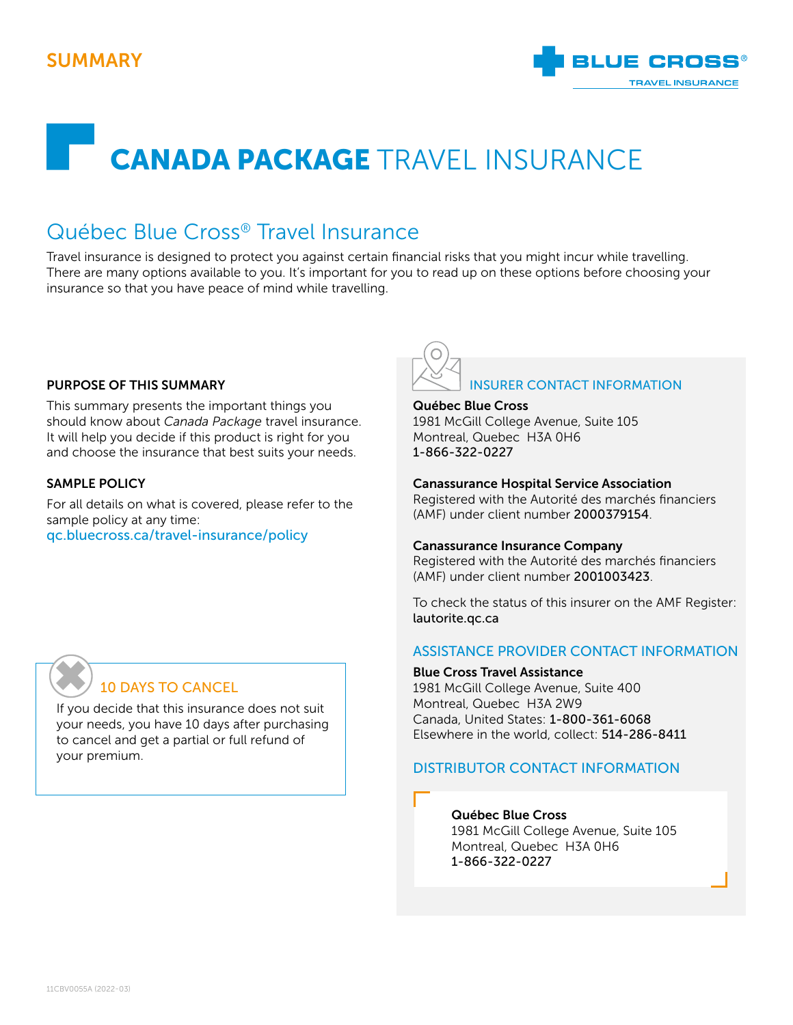## SUMMARY



# CANADA PACKAGE TRAVEL INSURANCE

## Québec Blue Cross® Travel Insurance

Travel insurance is designed to protect you against certain financial risks that you might incur while travelling. There are many options available to you. It's important for you to read up on these options before choosing your insurance so that you have peace of mind while travelling.

#### PURPOSE OF THIS SUMMARY

This summary presents the important things you should know about *Canada Package* travel insurance. It will help you decide if this product is right for you and choose the insurance that best suits your needs.

#### SAMPLE POLICY

For all details on what is covered, please refer to the sample policy at any time: [qc.bluecross.ca/travel-insurance/policy](https://qc.bluecross.ca/travel-insurance/travel-insurance-101/sample-of-insurance-policies)



#### Québec Blue Cross

1981 McGill College Avenue, Suite 105 Montreal, Quebec H3A 0H6 1-866-322-0227

#### Canassurance Hospital Service Association

Registered with the Autorité des marchés financiers (AMF) under client number 2000379154.

#### Canassurance Insurance Company

Registered with the Autorité des marchés financiers (AMF) under client number 2001003423.

To check the status of this insurer on the AMF Register: [lautorite.qc.ca](https://lautorite.qc.ca)

#### ASSISTANCE PROVIDER CONTACT INFORMATION

#### Blue Cross Travel Assistance

1981 McGill College Avenue, Suite 400 Montreal, Quebec H3A 2W9 Canada, United States: 1-800-361-6068 Elsewhere in the world, collect: 514-286-8411

#### DISTRIBUTOR CONTACT INFORMATION

#### Québec Blue Cross

1981 McGill College Avenue, Suite 105 Montreal, Quebec H3A 0H6 1-866-322-0227

## 10 DAYS TO CANCEL ✖

If you decide that this insurance does not suit your needs, you have 10 days after purchasing to cancel and get a partial or full refund of your premium.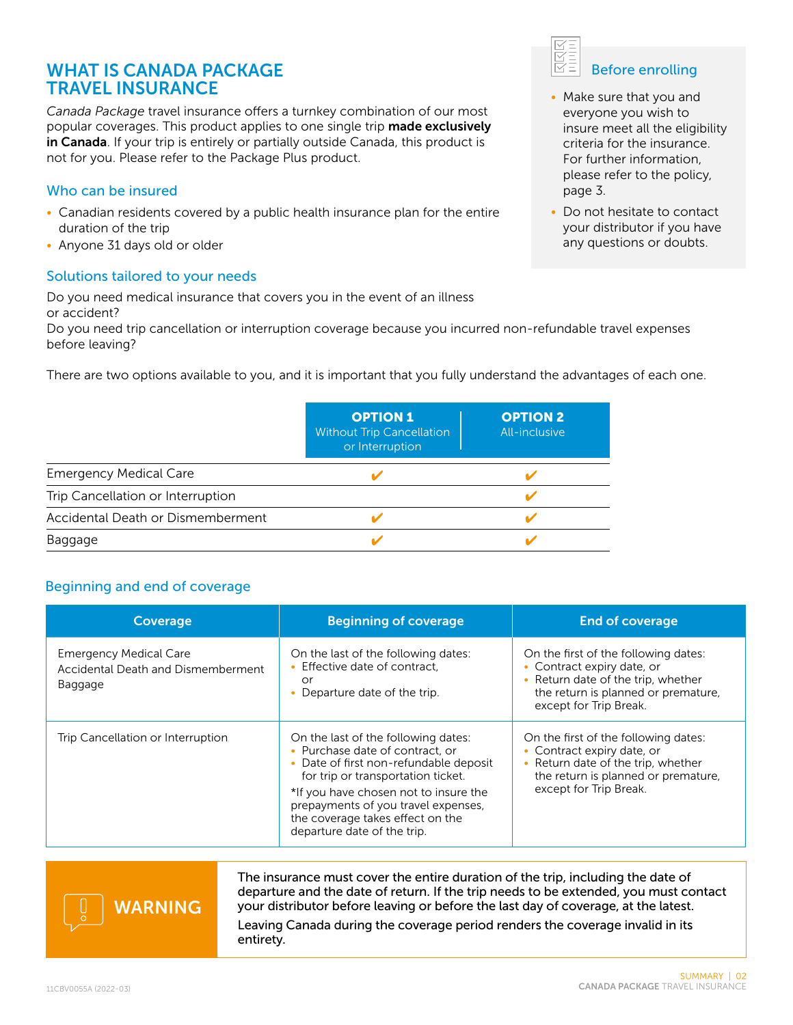### WHAT IS CANADA PACKAGE TRAVEL INSURANCE

*Canada Package* travel insurance offers a turnkey combination of our most popular coverages. This product applies to one single trip made exclusively in Canada. If your trip is entirely or partially outside Canada, this product is not for you. Please refer to the Package Plus product.

#### Who can be insured

- Canadian residents covered by a public health insurance plan for the entire duration of the trip
- Anyone 31 days old or older

#### Solutions tailored to your needs

Do you need medical insurance that covers you in the event of an illness or accident?

Do you need trip cancellation or interruption coverage because you incurred non-refundable travel expenses before leaving?

There are two options available to you, and it is important that you fully understand the advantages of each one.

|                                   | <b>OPTION 1</b><br><b>Without Trip Cancellation</b><br>or Interruption | <b>OPTION 2</b><br>All-inclusive |
|-----------------------------------|------------------------------------------------------------------------|----------------------------------|
| <b>Emergency Medical Care</b>     |                                                                        |                                  |
| Trip Cancellation or Interruption |                                                                        |                                  |
| Accidental Death or Dismemberment |                                                                        |                                  |
| Baggage                           |                                                                        |                                  |

#### Beginning and end of coverage

| Coverage                                                                       | <b>Beginning of coverage</b>                                                                                                                                                                                                                                                                              | <b>End of coverage</b>                                                                                                                                                    |
|--------------------------------------------------------------------------------|-----------------------------------------------------------------------------------------------------------------------------------------------------------------------------------------------------------------------------------------------------------------------------------------------------------|---------------------------------------------------------------------------------------------------------------------------------------------------------------------------|
| <b>Emergency Medical Care</b><br>Accidental Death and Dismemberment<br>Baggage | On the last of the following dates:<br>• Effective date of contract.<br>or<br>• Departure date of the trip.                                                                                                                                                                                               | On the first of the following dates:<br>• Contract expiry date, or<br>• Return date of the trip, whether<br>the return is planned or premature,<br>except for Trip Break. |
| Trip Cancellation or Interruption                                              | On the last of the following dates:<br>• Purchase date of contract, or<br>• Date of first non-refundable deposit<br>for trip or transportation ticket.<br>*If you have chosen not to insure the<br>prepayments of you travel expenses,<br>the coverage takes effect on the<br>departure date of the trip. | On the first of the following dates:<br>• Contract expiry date, or<br>• Return date of the trip, whether<br>the return is planned or premature,<br>except for Trip Break. |



The insurance must cover the entire duration of the trip, including the date of departure and the date of return. If the trip needs to be extended, you must contact your distributor before leaving or before the last day of coverage, at the latest.

Leaving Canada during the coverage period renders the coverage invalid in its entirety.



- Make sure that you and everyone you wish to insure meet all the eligibility criteria for the insurance. For further information, please refer to the policy, page 3.
- Do not hesitate to contact your distributor if you have any questions or doubts.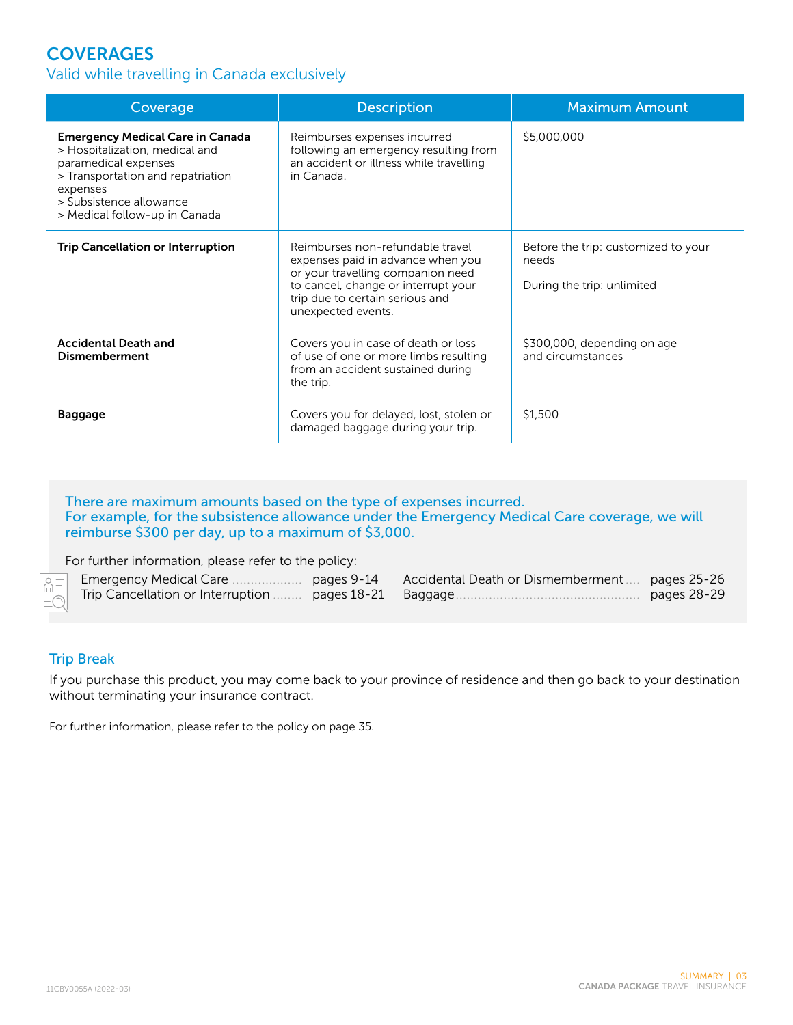## **COVERAGES**

#### Valid while travelling in Canada exclusively

| Coverage                                                                                                                                                                                                       | <b>Description</b>                                                                                                                                                                                         | <b>Maximum Amount</b>                                                      |
|----------------------------------------------------------------------------------------------------------------------------------------------------------------------------------------------------------------|------------------------------------------------------------------------------------------------------------------------------------------------------------------------------------------------------------|----------------------------------------------------------------------------|
| <b>Emergency Medical Care in Canada</b><br>> Hospitalization, medical and<br>paramedical expenses<br>> Transportation and repatriation<br>expenses<br>> Subsistence allowance<br>> Medical follow-up in Canada | Reimburses expenses incurred<br>following an emergency resulting from<br>an accident or illness while travelling<br>in Canada                                                                              | \$5,000,000                                                                |
| <b>Trip Cancellation or Interruption</b>                                                                                                                                                                       | Reimburses non-refundable travel<br>expenses paid in advance when you<br>or your travelling companion need<br>to cancel, change or interrupt your<br>trip due to certain serious and<br>unexpected events. | Before the trip: customized to your<br>needs<br>During the trip: unlimited |
| <b>Accidental Death and</b><br><b>Dismemberment</b>                                                                                                                                                            | Covers you in case of death or loss<br>of use of one or more limbs resulting<br>from an accident sustained during<br>the trip.                                                                             | \$300,000, depending on age<br>and circumstances                           |
| <b>Baggage</b>                                                                                                                                                                                                 | Covers you for delayed, lost, stolen or<br>damaged baggage during your trip.                                                                                                                               | \$1,500                                                                    |

#### There are maximum amounts based on the type of expenses incurred. For example, for the subsistence allowance under the Emergency Medical Care coverage, we will reimburse \$300 per day, up to a maximum of \$3,000.

For further information, please refer to the policy:

|                                                        | pages 9-14 | Accidental Death or Dismemberment  pages 25-26 |             |
|--------------------------------------------------------|------------|------------------------------------------------|-------------|
| Trip Cancellation or Interruption  pages 18-21 Baggage |            |                                                | pages 28-29 |

#### Trip Break

 $\stackrel{\circ}{\text{m}}$ 

If you purchase this product, you may come back to your province of residence and then go back to your destination without terminating your insurance contract.

For further information, please refer to the policy on page 35.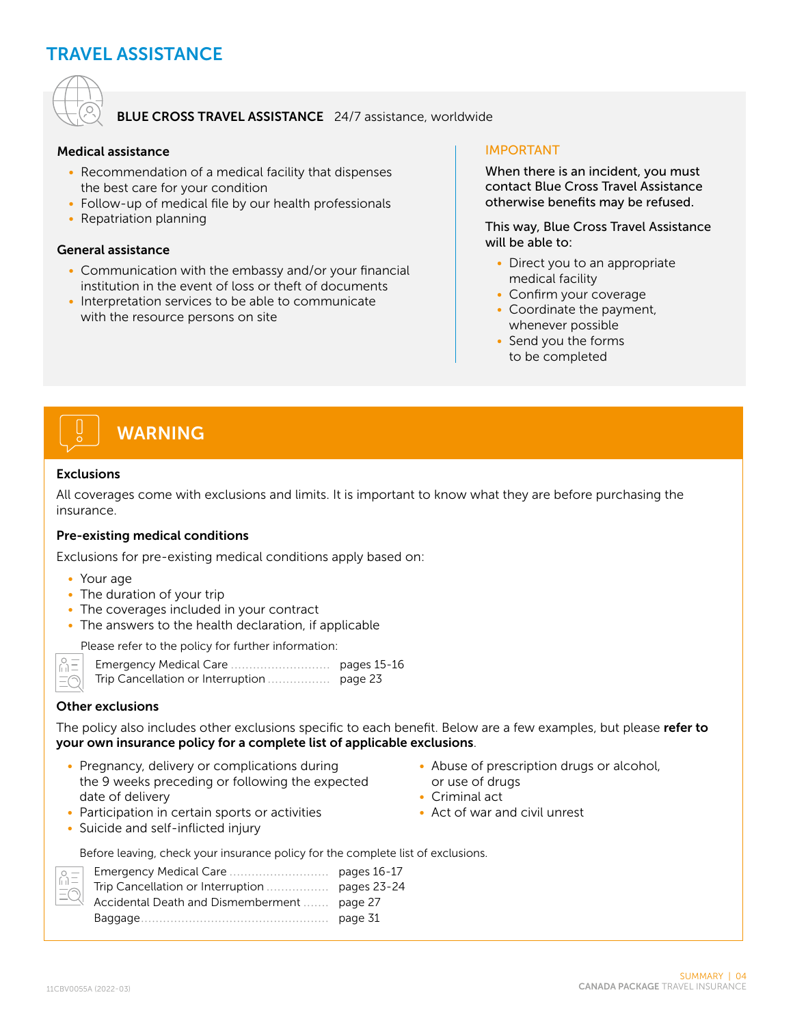## TRAVEL ASSISTANCE



#### BLUE CROSS TRAVEL ASSISTANCE 24/7 assistance, worldwide

#### Medical assistance

- Recommendation of a medical facility that dispenses the best care for your condition
- Follow-up of medical file by our health professionals
- Repatriation planning

#### General assistance

- Communication with the embassy and/or your financial institution in the event of loss or theft of documents
- Interpretation services to be able to communicate with the resource persons on site

#### IMPORTANT

When there is an incident, you must contact Blue Cross Travel Assistance otherwise benefits may be refused.

This way, Blue Cross Travel Assistance will be able to:

- Direct you to an appropriate medical facility
- Confirm your coverage
- Coordinate the payment, whenever possible
- Send you the forms to be completed

# WARNING

#### Exclusions

All coverages come with exclusions and limits. It is important to know what they are before purchasing the insurance.

#### Pre-existing medical conditions

Exclusions for pre-existing medical conditions apply based on:

- Your age
- The duration of your trip
- The coverages included in your contract
- The answers to the health declaration, if applicable

Please refer to the policy for further information:

 $\begin{bmatrix} 0 \\ 1 \end{bmatrix}$  $=$  $\in$  Emergency Medical Care ........................... pages 15-16 Trip Cancellation or Interruption ................. page 23

#### Other exclusions

The policy also includes other exclusions specific to each benefit. Below are a few examples, but please refer to your own insurance policy for a complete list of applicable exclusions.

• Pregnancy, delivery or complications during the 9 weeks preceding or following the expected date of delivery

• Participation in certain sports or activities

- Abuse of prescription drugs or alcohol, or use of drugs
- Criminal act
- Act of war and civil unrest

• Suicide and self-inflicted injury

Before leaving, check your insurance policy for the complete list of exclusions.

| $\overline{\phantom{a}}$ |                                             |         |
|--------------------------|---------------------------------------------|---------|
|                          |                                             |         |
|                          | Accidental Death and Dismemberment  page 27 |         |
|                          |                                             | page 31 |